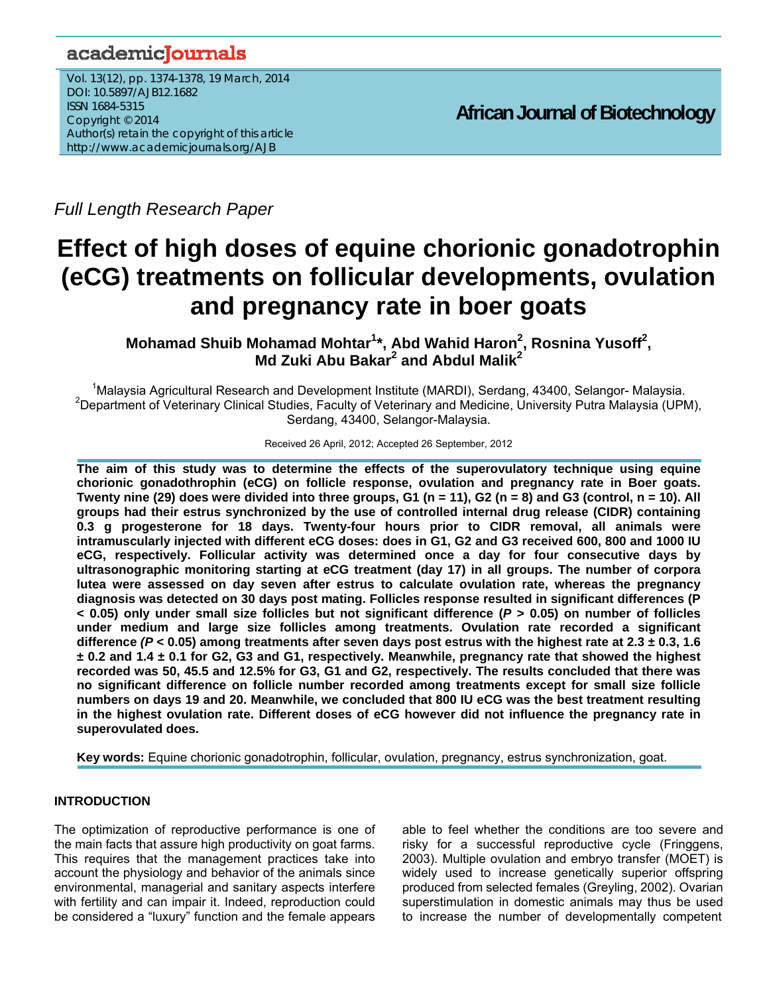# academicJournals

Vol. 13(12), pp. 1374-1378, 19 March, 2014 DOI: 10.5897/AJB12.1682 ISSN 1684-5315 Copyright © 2014 Author(s) retain the copyright of this article http://www.academicjournals.org/AJB

**African Journal of Biotechnology**

*Full Length Research Paper*

# **Effect of high doses of equine chorionic gonadotrophin (eCG) treatments on follicular developments, ovulation and pregnancy rate in boer goats**

Mohamad Shuib Mohamad Mohtar<sup>1</sup>\*, Abd Wahid Haron<sup>2</sup>, Rosnina Yusoff<sup>2</sup>, **Md Zuki Abu Bakar<sup>2</sup> and Abdul Malik<sup>2</sup>** 

<sup>1</sup>Malaysia Agricultural Research and Development Institute (MARDI), Serdang, 43400, Selangor- Malaysia.<br><sup>2</sup>Department of Veterinary Clinical Studies, Faculty of Veterinary and Madieire, University Butre Malaysia. (UPN <sup>2</sup>Department of Veterinary Clinical Studies, Faculty of Veterinary and Medicine, University Putra Malaysia (UPM), Serdang, 43400, Selangor-Malaysia.

Received 26 April, 2012; Accepted 26 September, 2012

**The aim of this study was to determine the effects of the superovulatory technique using equine chorionic gonadothrophin (eCG) on follicle response, ovulation and pregnancy rate in Boer goats. Twenty nine (29) does were divided into three groups, G1 (n = 11), G2 (n = 8) and G3 (control, n = 10). All groups had their estrus synchronized by the use of controlled internal drug release (CIDR) containing 0.3 g progesterone for 18 days. Twenty-four hours prior to CIDR removal, all animals were intramuscularly injected with different eCG doses: does in G1, G2 and G3 received 600, 800 and 1000 IU eCG, respectively. Follicular activity was determined once a day for four consecutive days by ultrasonographic monitoring starting at eCG treatment (day 17) in all groups. The number of corpora lutea were assessed on day seven after estrus to calculate ovulation rate, whereas the pregnancy diagnosis was detected on 30 days post mating. Follicles response resulted in significant differences (P < 0.05) only under small size follicles but not significant difference (***P* **> 0.05) on number of follicles under medium and large size follicles among treatments. Ovulation rate recorded a significant difference** *(P* **< 0.05) among treatments after seven days post estrus with the highest rate at 2.3 ± 0.3, 1.6 ± 0.2 and 1.4 ± 0.1 for G2, G3 and G1, respectively. Meanwhile, pregnancy rate that showed the highest recorded was 50, 45.5 and 12.5% for G3, G1 and G2, respectively. The results concluded that there was no significant difference on follicle number recorded among treatments except for small size follicle numbers on days 19 and 20. Meanwhile, we concluded that 800 IU eCG was the best treatment resulting in the highest ovulation rate. Different doses of eCG however did not influence the pregnancy rate in superovulated does.** 

**Key words:** Equine chorionic gonadotrophin, follicular, ovulation, pregnancy, estrus synchronization, goat.

## **INTRODUCTION**

The optimization of reproductive performance is one of the main facts that assure high productivity on goat farms. This requires that the management practices take into account the physiology and behavior of the animals since environmental, managerial and sanitary aspects interfere with fertility and can impair it. Indeed, reproduction could be considered a "luxury" function and the female appears able to feel whether the conditions are too severe and risky for a successful reproductive cycle (Fringgens, 2003). Multiple ovulation and embryo transfer (MOET) is widely used to increase genetically superior offspring produced from selected females (Greyling, 2002). Ovarian superstimulation in domestic animals may thus be used to increase the number of developmentally competent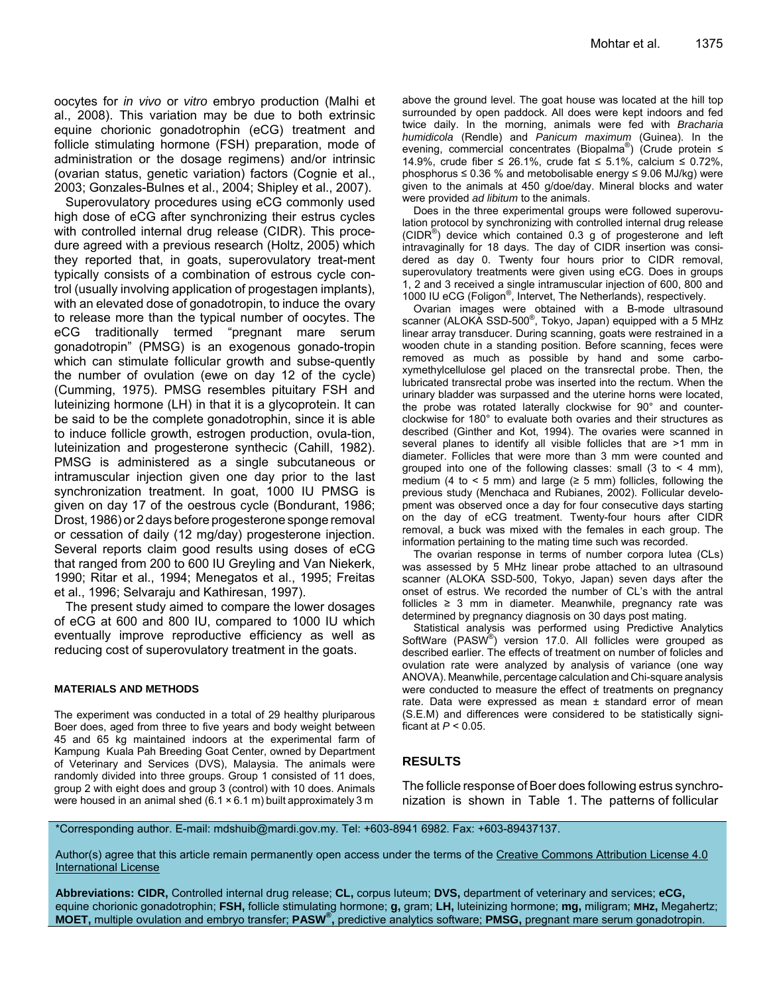oocytes for *in vivo* or *vitro* embryo production (Malhi et al., 2008). This variation may be due to both extrinsic equine chorionic gonadotrophin (eCG) treatment and follicle stimulating hormone (FSH) preparation, mode of administration or the dosage regimens) and/or intrinsic (ovarian status, genetic variation) factors (Cognie et al., 2003; Gonzales-Bulnes et al., 2004; Shipley et al., 2007).

Superovulatory procedures using eCG commonly used high dose of eCG after synchronizing their estrus cycles with controlled internal drug release (CIDR). This procedure agreed with a previous research (Holtz, 2005) which they reported that, in goats, superovulatory treat-ment typically consists of a combination of estrous cycle control (usually involving application of progestagen implants), with an elevated dose of gonadotropin, to induce the ovary to release more than the typical number of oocytes. The eCG traditionally termed "pregnant mare serum gonadotropin" (PMSG) is an exogenous gonado-tropin which can stimulate follicular growth and subse-quently the number of ovulation (ewe on day 12 of the cycle) (Cumming, 1975). PMSG resembles pituitary FSH and luteinizing hormone (LH) in that it is a glycoprotein. It can be said to be the complete gonadotrophin, since it is able to induce follicle growth, estrogen production, ovula-tion, luteinization and progesterone synthecic (Cahill, 1982). PMSG is administered as a single subcutaneous or intramuscular injection given one day prior to the last synchronization treatment. In goat, 1000 IU PMSG is given on day 17 of the oestrous cycle (Bondurant, 1986; Drost, 1986) or 2 days before progesterone sponge removal or cessation of daily (12 mg/day) progesterone injection. Several reports claim good results using doses of eCG that ranged from 200 to 600 IU Greyling and Van Niekerk, 1990; Ritar et al., 1994; Menegatos et al., 1995; Freitas et al., 1996; Selvaraju and Kathiresan, 1997).

The present study aimed to compare the lower dosages of eCG at 600 and 800 IU, compared to 1000 IU which eventually improve reproductive efficiency as well as reducing cost of superovulatory treatment in the goats.

#### **MATERIALS AND METHODS**

The experiment was conducted in a total of 29 healthy pluriparous Boer does, aged from three to five years and body weight between 45 and 65 kg maintained indoors at the experimental farm of Kampung Kuala Pah Breeding Goat Center, owned by Department of Veterinary and Services (DVS), Malaysia. The animals were randomly divided into three groups. Group 1 consisted of 11 does, group 2 with eight does and group 3 (control) with 10 does. Animals were housed in an animal shed  $(6.1 \times 6.1 \text{ m})$  built approximately 3 m

above the ground level. The goat house was located at the hill top surrounded by open paddock. All does were kept indoors and fed twice daily. In the morning, animals were fed with *Bracharia humidicola* (Rendle) and *Panicum maximum* (Guinea). In the evening, commercial concentrates (Biopalma®) (Crude protein ≤ 14.9%, crude fiber ≤ 26.1%, crude fat ≤ 5.1%, calcium ≤ 0.72%, phosphorus ≤ 0.36 % and metobolisable energy ≤ 9.06 MJ/kg) were given to the animals at 450 g/doe/day. Mineral blocks and water were provided *ad libitum* to the animals.

Does in the three experimental groups were followed superovulation protocol by synchronizing with controlled internal drug release  $(CIDR<sup>®</sup>)$  device which contained 0.3 g of progesterone and left intravaginally for 18 days. The day of CIDR insertion was considered as day 0. Twenty four hours prior to CIDR removal, superovulatory treatments were given using eCG. Does in groups 1, 2 and 3 received a single intramuscular injection of 600, 800 and 1000 IU eCG (Foligon®, Intervet, The Netherlands), respectively.

Ovarian images were obtained with a B-mode ultrasound scanner (ALOKA SSD-500<sup>®</sup>, Tokyo, Japan) equipped with a 5 MHz linear array transducer. During scanning, goats were restrained in a wooden chute in a standing position. Before scanning, feces were removed as much as possible by hand and some carboxymethylcellulose gel placed on the transrectal probe. Then, the lubricated transrectal probe was inserted into the rectum. When the urinary bladder was surpassed and the uterine horns were located, the probe was rotated laterally clockwise for 90° and counterclockwise for 180° to evaluate both ovaries and their structures as described (Ginther and Kot, 1994). The ovaries were scanned in several planes to identify all visible follicles that are >1 mm in diameter. Follicles that were more than 3 mm were counted and grouped into one of the following classes: small  $(3 \text{ to } 4 \text{ mm})$ , medium (4 to  $\lt$  5 mm) and large ( $\ge$  5 mm) follicles, following the previous study (Menchaca and Rubianes, 2002). Follicular development was observed once a day for four consecutive days starting on the day of eCG treatment. Twenty-four hours after CIDR removal, a buck was mixed with the females in each group. The information pertaining to the mating time such was recorded.

The ovarian response in terms of number corpora lutea (CLs) was assessed by 5 MHz linear probe attached to an ultrasound scanner (ALOKA SSD-500, Tokyo, Japan) seven days after the onset of estrus. We recorded the number of CL's with the antral follicles  $\geq$  3 mm in diameter. Meanwhile, pregnancy rate was determined by pregnancy diagnosis on 30 days post mating.

Statistical analysis was performed using Predictive Analytics SoftWare (PASW®) version 17.0. All follicles were grouped as described earlier. The effects of treatment on number of folicles and ovulation rate were analyzed by analysis of variance (one way ANOVA). Meanwhile, percentage calculation and Chi-square analysis were conducted to measure the effect of treatments on pregnancy rate. Data were expressed as mean ± standard error of mean (S.E.M) and differences were considered to be statistically significant at *P* < 0.05.

### **RESULTS**

The follicle response of Boer does following estrus synchronization is shown in Table 1. The patterns of follicular

\*Corresponding author. E-mail: mdshuib@mardi.gov.my. Tel: +603-8941 6982. Fax: +603-89437137.

Author(s) agree that this article remain permanently open access under the terms of the Creative Commons Attribution License 4.0 International License

**Abbreviations: CIDR,** Controlled internal drug release; **CL,** corpus luteum; **DVS,** department of veterinary and services; **eCG,** equine chorionic gonadotrophin; **FSH,** follicle stimulating hormone; **g,** gram; **LH,** luteinizing hormone; **mg,** miligram; **MHz,** Megahertz; **MOET,** multiple ovulation and embryo transfer; **PASW® ,** predictive analytics software; **PMSG,** pregnant mare serum gonadotropin.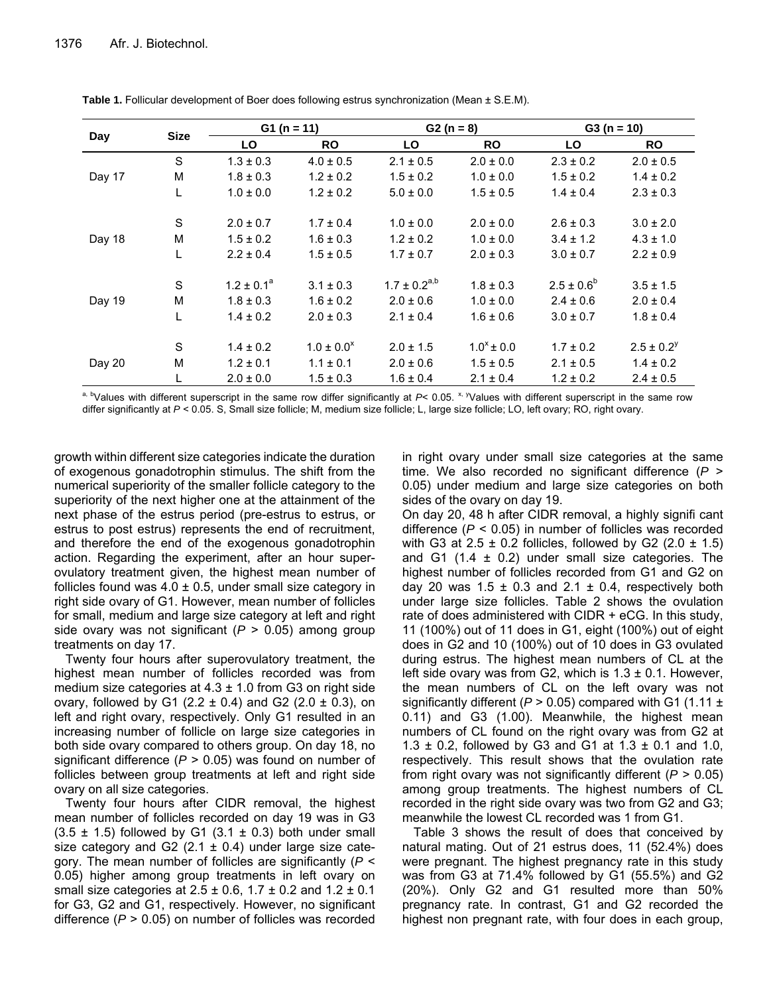| Day    | <b>Size</b>  | $G1 (n = 11)$   |                 | $G2 (n = 8)$        |                 | $G3(n = 10)$    |                 |
|--------|--------------|-----------------|-----------------|---------------------|-----------------|-----------------|-----------------|
|        |              | LO              | <b>RO</b>       | LO                  | <b>RO</b>       | LO              | <b>RO</b>       |
| Day 17 | S            | $1.3 \pm 0.3$   | $4.0 \pm 0.5$   | $2.1 \pm 0.5$       | $2.0 \pm 0.0$   | $2.3 \pm 0.2$   | $2.0 \pm 0.5$   |
|        | M            | $1.8 \pm 0.3$   | $1.2 \pm 0.2$   | $1.5 \pm 0.2$       | $1.0 \pm 0.0$   | $1.5 \pm 0.2$   | $1.4 \pm 0.2$   |
|        |              | $1.0 \pm 0.0$   | $1.2 \pm 0.2$   | $5.0 \pm 0.0$       | $1.5 \pm 0.5$   | $1.4 \pm 0.4$   | $2.3 \pm 0.3$   |
| Day 18 | S            | $2.0 \pm 0.7$   | $1.7 \pm 0.4$   | $1.0 \pm 0.0$       | $2.0 \pm 0.0$   | $2.6 \pm 0.3$   | $3.0 \pm 2.0$   |
|        | M            | $1.5 \pm 0.2$   | $1.6 \pm 0.3$   | $1.2 \pm 0.2$       | $1.0 \pm 0.0$   | $3.4 \pm 1.2$   | $4.3 \pm 1.0$   |
|        |              | $2.2 \pm 0.4$   | $1.5 \pm 0.5$   | $1.7 \pm 0.7$       | $2.0 \pm 0.3$   | $3.0 \pm 0.7$   | $2.2 \pm 0.9$   |
| Day 19 | S            | $1.2 \pm 0.1^a$ | $3.1 \pm 0.3$   | $1.7 \pm 0.2^{a,b}$ | $1.8 \pm 0.3$   | $2.5 \pm 0.6^b$ | $3.5 \pm 1.5$   |
|        | M            | $1.8 \pm 0.3$   | $1.6 \pm 0.2$   | $2.0 \pm 0.6$       | $1.0 \pm 0.0$   | $2.4 \pm 0.6$   | $2.0 \pm 0.4$   |
|        | $\mathbf{L}$ | $1.4 \pm 0.2$   | $2.0 \pm 0.3$   | $2.1 \pm 0.4$       | $1.6 \pm 0.6$   | $3.0 \pm 0.7$   | $1.8 \pm 0.4$   |
| Day 20 | S            | $1.4 \pm 0.2$   | $1.0 \pm 0.0^x$ | $2.0 \pm 1.5$       | $1.0^x \pm 0.0$ | $1.7 \pm 0.2$   | $2.5 \pm 0.2^y$ |
|        | M            | $1.2 \pm 0.1$   | $1.1 \pm 0.1$   | $2.0 \pm 0.6$       | $1.5 \pm 0.5$   | $2.1 \pm 0.5$   | $1.4 \pm 0.2$   |
|        |              | $2.0 \pm 0.0$   | $1.5 \pm 0.3$   | $1.6 \pm 0.4$       | $2.1 \pm 0.4$   | $1.2 \pm 0.2$   | $2.4 \pm 0.5$   |

**Table 1.** Follicular development of Boer does following estrus synchronization (Mean ± S.E.M).

a, b<sub>Values</sub> with different superscript in the same row differ significantly at *P*< 0.05. <sup>x, y</sup>Values with different superscript in the same row differ significantly at  $P < 0.05$ . S, Small size follicle; M, medium size follicle; L, large size follicle; LO, left ovary; RO, right ovary.

growth within different size categories indicate the duration of exogenous gonadotrophin stimulus. The shift from the numerical superiority of the smaller follicle category to the superiority of the next higher one at the attainment of the next phase of the estrus period (pre-estrus to estrus, or estrus to post estrus) represents the end of recruitment, and therefore the end of the exogenous gonadotrophin action. Regarding the experiment, after an hour superovulatory treatment given, the highest mean number of follicles found was  $4.0 \pm 0.5$ , under small size category in right side ovary of G1. However, mean number of follicles for small, medium and large size category at left and right side ovary was not significant (*P* > 0.05) among group treatments on day 17.

Twenty four hours after superovulatory treatment, the highest mean number of follicles recorded was from medium size categories at  $4.3 \pm 1.0$  from G3 on right side ovary, followed by G1 (2.2  $\pm$  0.4) and G2 (2.0  $\pm$  0.3), on left and right ovary, respectively. Only G1 resulted in an increasing number of follicle on large size categories in both side ovary compared to others group. On day 18, no significant difference (*P* > 0.05) was found on number of follicles between group treatments at left and right side ovary on all size categories.

Twenty four hours after CIDR removal, the highest mean number of follicles recorded on day 19 was in G3  $(3.5 \pm 1.5)$  followed by G1  $(3.1 \pm 0.3)$  both under small size category and G2 (2.1  $\pm$  0.4) under large size category. The mean number of follicles are significantly (*P* < 0.05) higher among group treatments in left ovary on small size categories at  $2.5 \pm 0.6$ ,  $1.7 \pm 0.2$  and  $1.2 \pm 0.1$ for G3, G2 and G1, respectively. However, no significant difference (*P* > 0.05) on number of follicles was recorded in right ovary under small size categories at the same time. We also recorded no significant difference (*P* > 0.05) under medium and large size categories on both sides of the ovary on day 19.

On day 20, 48 h after CIDR removal, a highly signifi cant difference (*P* < 0.05) in number of follicles was recorded with G3 at  $2.5 \pm 0.2$  follicles, followed by G2 (2.0  $\pm$  1.5) and G1 (1.4  $\pm$  0.2) under small size categories. The highest number of follicles recorded from G1 and G2 on day 20 was  $1.5 \pm 0.3$  and  $2.1 \pm 0.4$ , respectively both under large size follicles. Table 2 shows the ovulation rate of does administered with CIDR + eCG. In this study, 11 (100%) out of 11 does in G1, eight (100%) out of eight does in G2 and 10 (100%) out of 10 does in G3 ovulated during estrus. The highest mean numbers of CL at the left side ovary was from G2, which is  $1.3 \pm 0.1$ . However, the mean numbers of CL on the left ovary was not significantly different ( $P > 0.05$ ) compared with G1 (1.11  $\pm$ 0.11) and G3 (1.00). Meanwhile, the highest mean numbers of CL found on the right ovary was from G2 at 1.3  $\pm$  0.2, followed by G3 and G1 at 1.3  $\pm$  0.1 and 1.0, respectively. This result shows that the ovulation rate from right ovary was not significantly different (*P* > 0.05) among group treatments. The highest numbers of CL recorded in the right side ovary was two from G2 and G3; meanwhile the lowest CL recorded was 1 from G1.

Table 3 shows the result of does that conceived by natural mating. Out of 21 estrus does, 11 (52.4%) does were pregnant. The highest pregnancy rate in this study was from G3 at 71.4% followed by G1 (55.5%) and G2 (20%). Only G2 and G1 resulted more than 50% pregnancy rate. In contrast, G1 and G2 recorded the highest non pregnant rate, with four does in each group,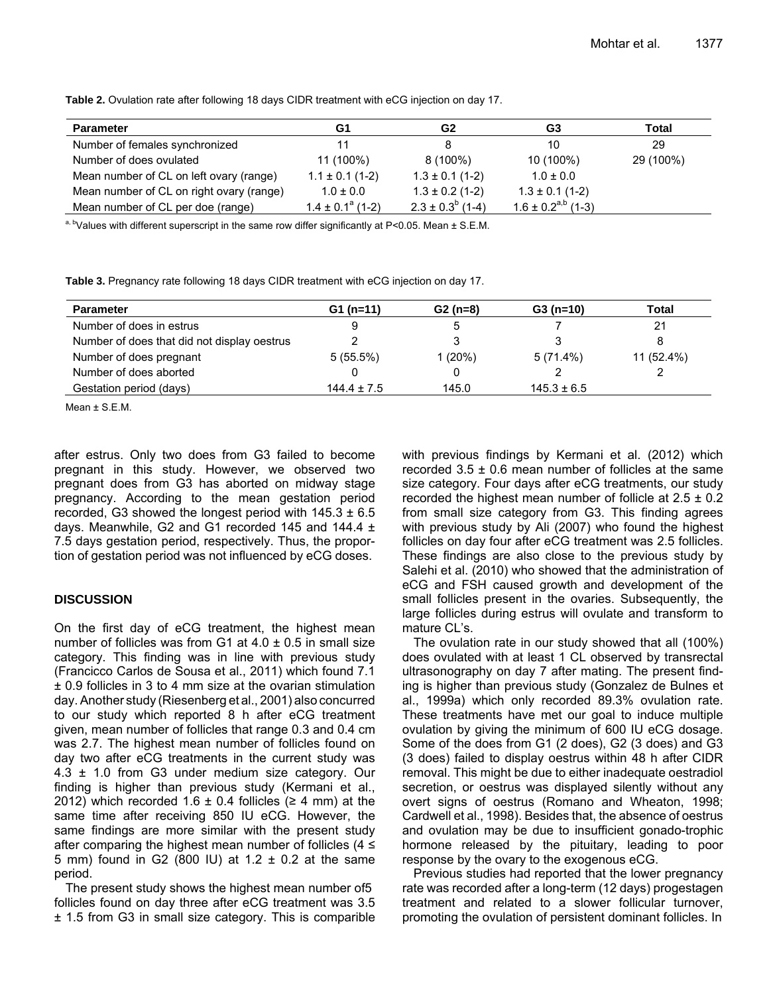| <b>Parameter</b>                         | G1                    | G2                      | G3                        | Total     |
|------------------------------------------|-----------------------|-------------------------|---------------------------|-----------|
| Number of females synchronized           | 11                    |                         | 10                        | 29        |
| Number of does ovulated                  | 11 (100%)             | $8(100\%)$              | 10 (100%)                 | 29 (100%) |
| Mean number of CL on left ovary (range)  | $1.1 \pm 0.1$ (1-2)   | $1.3 \pm 0.1$ (1-2)     | $1.0 \pm 0.0$             |           |
| Mean number of CL on right ovary (range) | $1.0 \pm 0.0$         | $1.3 \pm 0.2$ (1-2)     | $1.3 \pm 0.1$ (1-2)       |           |
| Mean number of CL per doe (range)        | $1.4 \pm 0.1^a$ (1-2) | $2.3 \pm 0.3^{b}$ (1-4) | $1.6 \pm 0.2^{a,b}$ (1-3) |           |

**Table 2.** Ovulation rate after following 18 days CIDR treatment with eCG injection on day 17.

a, b Values with different superscript in the same row differ significantly at P<0.05. Mean  $\pm$  S.E.M.

**Table 3.** Pregnancy rate following 18 days CIDR treatment with eCG injection on day 17.

| <b>Parameter</b>                            | $G1(n=11)$      | $G2(n=8)$ | $G3(n=10)$      | Total      |
|---------------------------------------------|-----------------|-----------|-----------------|------------|
| Number of does in estrus                    |                 |           |                 | 21         |
| Number of does that did not display oestrus |                 |           |                 |            |
| Number of does pregnant                     | $5(55.5\%)$     | 1(20%)    | $5(71.4\%)$     | 11 (52.4%) |
| Number of does aborted                      |                 |           |                 |            |
| Gestation period (days)                     | $144.4 \pm 7.5$ | 145.0     | $145.3 \pm 6.5$ |            |

Mean ± S.E.M.

after estrus. Only two does from G3 failed to become pregnant in this study. However, we observed two pregnant does from G3 has aborted on midway stage pregnancy. According to the mean gestation period recorded, G3 showed the longest period with  $145.3 \pm 6.5$ days. Meanwhile, G2 and G1 recorded 145 and 144.4 ± 7.5 days gestation period, respectively. Thus, the proportion of gestation period was not influenced by eCG doses.

### **DISCUSSION**

On the first day of eCG treatment, the highest mean number of follicles was from G1 at  $4.0 \pm 0.5$  in small size category. This finding was in line with previous study (Francicco Carlos de Sousa et al., 2011) which found 7.1 ± 0.9 follicles in 3 to 4 mm size at the ovarian stimulation day.Another study (Riesenberg et al., 2001) also concurred to our study which reported 8 h after eCG treatment given, mean number of follicles that range 0.3 and 0.4 cm was 2.7. The highest mean number of follicles found on day two after eCG treatments in the current study was 4.3 ± 1.0 from G3 under medium size category. Our finding is higher than previous study (Kermani et al., 2012) which recorded 1.6  $\pm$  0.4 follicles ( $\geq$  4 mm) at the same time after receiving 850 IU eCG. However, the same findings are more similar with the present study after comparing the highest mean number of follicles  $(4 \le$ 5 mm) found in G2 (800 IU) at 1.2 ± 0.2 at the same period.

The present study shows the highest mean number of5 follicles found on day three after eCG treatment was 3.5 ± 1.5 from G3 in small size category. This is comparible with previous findings by Kermani et al. (2012) which recorded  $3.5 \pm 0.6$  mean number of follicles at the same size category. Four days after eCG treatments, our study recorded the highest mean number of follicle at  $2.5 \pm 0.2$ from small size category from G3. This finding agrees with previous study by Ali (2007) who found the highest follicles on day four after eCG treatment was 2.5 follicles. These findings are also close to the previous study by Salehi et al. (2010) who showed that the administration of eCG and FSH caused growth and development of the small follicles present in the ovaries. Subsequently, the large follicles during estrus will ovulate and transform to mature CL's.

The ovulation rate in our study showed that all (100%) does ovulated with at least 1 CL observed by transrectal ultrasonography on day 7 after mating. The present finding is higher than previous study (Gonzalez de Bulnes et al., 1999a) which only recorded 89.3% ovulation rate. These treatments have met our goal to induce multiple ovulation by giving the minimum of 600 IU eCG dosage. Some of the does from G1 (2 does), G2 (3 does) and G3 (3 does) failed to display oestrus within 48 h after CIDR removal. This might be due to either inadequate oestradiol secretion, or oestrus was displayed silently without any overt signs of oestrus (Romano and Wheaton, 1998; Cardwell et al., 1998). Besides that, the absence of oestrus and ovulation may be due to insufficient gonado-trophic hormone released by the pituitary, leading to poor response by the ovary to the exogenous eCG.

Previous studies had reported that the lower pregnancy rate was recorded after a long-term (12 days) progestagen treatment and related to a slower follicular turnover, promoting the ovulation of persistent dominant follicles. In